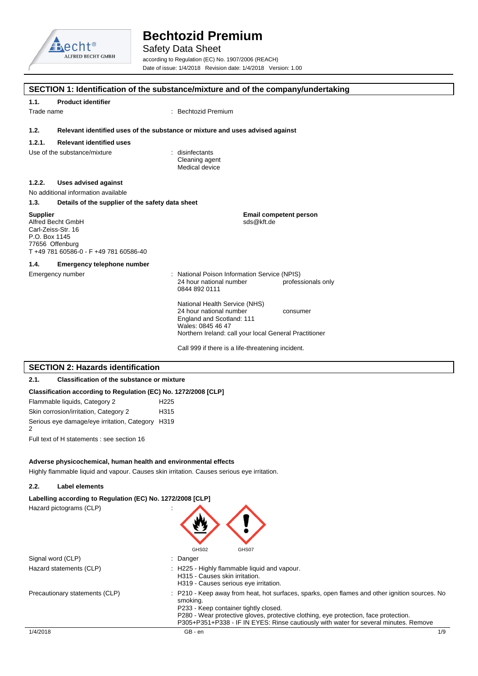

# Safety Data Sheet

**SECTION 1: Identification of the substance/mixture and of the company/undertaking**

according to Regulation (EC) No. 1907/2006 (REACH) Date of issue: 1/4/2018 Revision date: 1/4/2018 Version: 1.00

| 1.1.                                                                                                                                     | <b>Product identifier</b>                                                     |                                                                                                                                                                      |                    |  |  |
|------------------------------------------------------------------------------------------------------------------------------------------|-------------------------------------------------------------------------------|----------------------------------------------------------------------------------------------------------------------------------------------------------------------|--------------------|--|--|
| Trade name                                                                                                                               |                                                                               | : Bechtozid Premium                                                                                                                                                  |                    |  |  |
| 1.2.                                                                                                                                     | Relevant identified uses of the substance or mixture and uses advised against |                                                                                                                                                                      |                    |  |  |
| 1.2.1.                                                                                                                                   | <b>Relevant identified uses</b>                                               |                                                                                                                                                                      |                    |  |  |
|                                                                                                                                          | Use of the substance/mixture                                                  | disinfectants<br>Cleaning agent<br>Medical device                                                                                                                    |                    |  |  |
| 1.2.2.                                                                                                                                   | <b>Uses advised against</b>                                                   |                                                                                                                                                                      |                    |  |  |
|                                                                                                                                          | No additional information available                                           |                                                                                                                                                                      |                    |  |  |
| 1.3.                                                                                                                                     | Details of the supplier of the safety data sheet                              |                                                                                                                                                                      |                    |  |  |
| <b>Supplier</b><br>Alfred Becht GmbH<br>Carl-Zeiss-Str. 16<br>P.O. Box 1145<br>77656 Offenburg<br>T +49 781 60586-0 - F +49 781 60586-40 |                                                                               | <b>Email competent person</b><br>sds@kft.de                                                                                                                          |                    |  |  |
| 1.4.                                                                                                                                     | <b>Emergency telephone number</b>                                             |                                                                                                                                                                      |                    |  |  |
|                                                                                                                                          | Emergency number                                                              | : National Poison Information Service (NPIS)<br>24 hour national number<br>0844 892 0111                                                                             | professionals only |  |  |
|                                                                                                                                          |                                                                               | National Health Service (NHS)<br>24 hour national number<br>England and Scotland: 111<br>Wales: 0845 46 47<br>Northern Ireland: call your local General Practitioner | consumer           |  |  |
|                                                                                                                                          |                                                                               | Call 999 if there is a life-threatening incident.                                                                                                                    |                    |  |  |
|                                                                                                                                          | <b>SECTION 2: Hazards identification</b>                                      |                                                                                                                                                                      |                    |  |  |
| 2.1.                                                                                                                                     | <b>Classification of the substance or mixture</b>                             |                                                                                                                                                                      |                    |  |  |

## **Classification according to Regulation (EC) No. 1272/2008 [CLP]**

| Flammable liquids, Category 2                         | H <sub>225</sub> |
|-------------------------------------------------------|------------------|
| Skin corrosion/irritation, Category 2                 | H <sub>315</sub> |
| Serious eye damage/eye irritation, Category H319<br>2 |                  |

Full text of H statements : see section 16

## **Adverse physicochemical, human health and environmental effects**

Highly flammable liquid and vapour. Causes skin irritation. Causes serious eye irritation.

#### **2.2. Label elements**

 $\overline{\phantom{a}}$ 

| Labelling according to Regulation (EC) No. 1272/2008 [CLP]<br>Hazard pictograms (CLP) |                                                                                                                                                                                                                                                                                                                                     |     |
|---------------------------------------------------------------------------------------|-------------------------------------------------------------------------------------------------------------------------------------------------------------------------------------------------------------------------------------------------------------------------------------------------------------------------------------|-----|
| Signal word (CLP)                                                                     | GHS02<br>GHS07<br>: Danger                                                                                                                                                                                                                                                                                                          |     |
| Hazard statements (CLP)                                                               | : H225 - Highly flammable liquid and vapour.<br>H315 - Causes skin irritation.<br>H319 - Causes serious eye irritation.                                                                                                                                                                                                             |     |
| Precautionary statements (CLP)                                                        | : P210 - Keep away from heat, hot surfaces, sparks, open flames and other ignition sources. No<br>smoking.<br>P233 - Keep container tightly closed.<br>P280 - Wear protective gloves, protective clothing, eye protection, face protection.<br>P305+P351+P338 - IF IN EYES: Rinse cautiously with water for several minutes. Remove |     |
| 1/4/2018                                                                              | GB - en                                                                                                                                                                                                                                                                                                                             | 1/9 |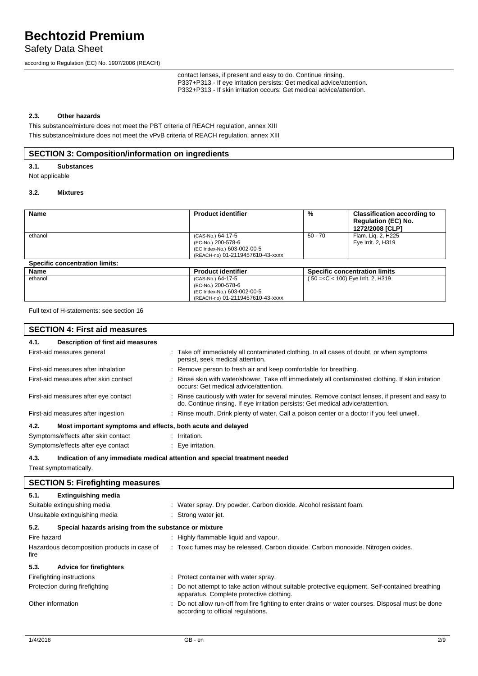Safety Data Sheet

according to Regulation (EC) No. 1907/2006 (REACH)

contact lenses, if present and easy to do. Continue rinsing. P337+P313 - If eye irritation persists: Get medical advice/attention. P332+P313 - If skin irritation occurs: Get medical advice/attention.

## **2.3. Other hazards**

This substance/mixture does not meet the PBT criteria of REACH regulation, annex XIII This substance/mixture does not meet the vPvB criteria of REACH regulation, annex XIII

# **SECTION 3: Composition/information on ingredients**

**3.1. Substances**

Not applicable

## **3.2. Mixtures**

| <b>Name</b>                           | <b>Product identifier</b>        | %       | <b>Classification according to</b><br><b>Regulation (EC) No.</b><br>1272/2008 [CLP] |
|---------------------------------------|----------------------------------|---------|-------------------------------------------------------------------------------------|
| ethanol                               | (CAS-No.) 64-17-5                | 50 - 70 | Flam. Lig. 2, H225                                                                  |
|                                       | (EC-No.) 200-578-6               |         | Eye Irrit. 2, H319                                                                  |
|                                       | (EC Index-No.) 603-002-00-5      |         |                                                                                     |
|                                       | (REACH-no) 01-2119457610-43-xxxx |         |                                                                                     |
| <b>Specific concentration limits:</b> |                                  |         |                                                                                     |
| Name                                  | <b>Product identifier</b>        |         | <b>Specific concentration limits</b>                                                |
| ethanol                               | (CAS-No.) 64-17-5                |         | 50 = < C < 100) Eye Irrit. 2, H319                                                  |
|                                       | (EC-No.) 200-578-6               |         |                                                                                     |
|                                       | (EC Index-No.) 603-002-00-5      |         |                                                                                     |

(REACH-no) 01-2119457610-43-xxxx

Full text of H-statements: see section 16

| <b>SECTION 4: First aid measures</b>                                |                                                                                                                                                                                     |  |  |  |
|---------------------------------------------------------------------|-------------------------------------------------------------------------------------------------------------------------------------------------------------------------------------|--|--|--|
| Description of first aid measures<br>4.1.                           |                                                                                                                                                                                     |  |  |  |
| First-aid measures general                                          | : Take off immediately all contaminated clothing. In all cases of doubt, or when symptoms<br>persist, seek medical attention.                                                       |  |  |  |
| First-aid measures after inhalation                                 | : Remove person to fresh air and keep comfortable for breathing.                                                                                                                    |  |  |  |
| First-aid measures after skin contact                               | : Rinse skin with water/shower. Take off immediately all contaminated clothing. If skin irritation<br>occurs: Get medical advice/attention.                                         |  |  |  |
| First-aid measures after eye contact                                | : Rinse cautiously with water for several minutes. Remove contact lenses, if present and easy to<br>do. Continue rinsing. If eye irritation persists: Get medical advice/attention. |  |  |  |
| First-aid measures after ingestion                                  | : Rinse mouth. Drink plenty of water. Call a poison center or a doctor if you feel unwell.                                                                                          |  |  |  |
| 4.2.<br>Most important symptoms and effects, both acute and delayed |                                                                                                                                                                                     |  |  |  |
| Symptoms/effects after skin contact                                 | : Irritation.                                                                                                                                                                       |  |  |  |
| Symptoms/effects after eye contact                                  | : Eye irritation.                                                                                                                                                                   |  |  |  |
| 4.3.                                                                | Indication of any immediate medical attention and special treatment needed                                                                                                          |  |  |  |
| Treat symptomatically.                                              |                                                                                                                                                                                     |  |  |  |

|                                                               | <b>SECTION 5: Firefighting measures</b> |  |                                                                                                                                           |  |  |
|---------------------------------------------------------------|-----------------------------------------|--|-------------------------------------------------------------------------------------------------------------------------------------------|--|--|
| 5.1.                                                          | <b>Extinguishing media</b>              |  |                                                                                                                                           |  |  |
|                                                               | Suitable extinguishing media            |  | : Water spray. Dry powder. Carbon dioxide. Alcohol resistant foam.                                                                        |  |  |
|                                                               | Unsuitable extinguishing media          |  | : Strong water jet.                                                                                                                       |  |  |
| 5.2.<br>Special hazards arising from the substance or mixture |                                         |  |                                                                                                                                           |  |  |
| Fire hazard                                                   |                                         |  | : Highly flammable liquid and vapour.                                                                                                     |  |  |
| Hazardous decomposition products in case of<br>fire           |                                         |  | : Toxic fumes may be released. Carbon dioxide. Carbon monoxide. Nitrogen oxides.                                                          |  |  |
| 5.3.                                                          | <b>Advice for firefighters</b>          |  |                                                                                                                                           |  |  |
|                                                               | Firefighting instructions               |  | : Protect container with water spray.                                                                                                     |  |  |
| Protection during firefighting                                |                                         |  | Do not attempt to take action without suitable protective equipment. Self-contained breathing<br>apparatus. Complete protective clothing. |  |  |
| Other information                                             |                                         |  | Do not allow run-off from fire fighting to enter drains or water courses. Disposal must be done<br>according to official regulations.     |  |  |
|                                                               |                                         |  |                                                                                                                                           |  |  |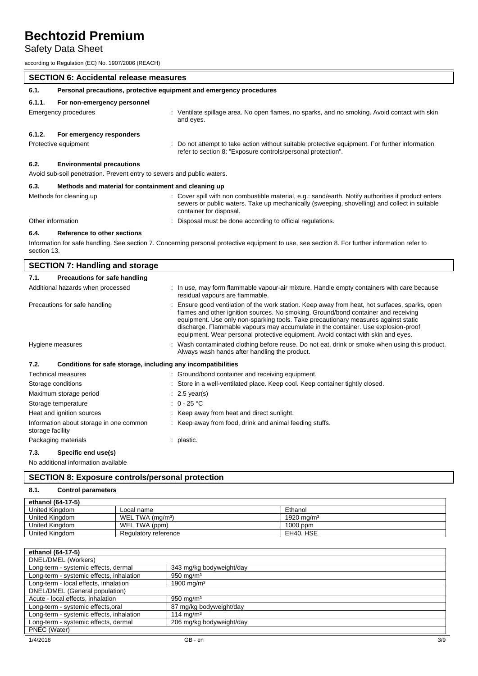# Safety Data Sheet

according to Regulation (EC) No. 1907/2006 (REACH)

|                                                                        | <b>SECTION 6: Accidental release measures</b>                       |                                                                                                                                                                                                                                |  |  |
|------------------------------------------------------------------------|---------------------------------------------------------------------|--------------------------------------------------------------------------------------------------------------------------------------------------------------------------------------------------------------------------------|--|--|
| 6.1.                                                                   | Personal precautions, protective equipment and emergency procedures |                                                                                                                                                                                                                                |  |  |
| 6.1.1.                                                                 | For non-emergency personnel                                         |                                                                                                                                                                                                                                |  |  |
| Emergency procedures                                                   |                                                                     | Ventilate spillage area. No open flames, no sparks, and no smoking. Avoid contact with skin<br>and eyes.                                                                                                                       |  |  |
| 6.1.2.                                                                 | For emergency responders                                            |                                                                                                                                                                                                                                |  |  |
| Protective equipment                                                   |                                                                     | : Do not attempt to take action without suitable protective equipment. For further information<br>refer to section 8: "Exposure controls/personal protection".                                                                 |  |  |
| 6.2.                                                                   | <b>Environmental precautions</b>                                    |                                                                                                                                                                                                                                |  |  |
| Avoid sub-soil penetration. Prevent entry to sewers and public waters. |                                                                     |                                                                                                                                                                                                                                |  |  |
| 6.3.                                                                   | Methods and material for containment and cleaning up                |                                                                                                                                                                                                                                |  |  |
|                                                                        | Methods for cleaning up                                             | : Cover spill with non combustible material, e.g.: sand/earth. Notify authorities if product enters<br>sewers or public waters. Take up mechanically (sweeping, shovelling) and collect in suitable<br>container for disposal. |  |  |

Other information **interval and the contract of the CO**ther information intervals of the Disposal must be done according to official regulations.

### **6.4. Reference to other sections**

Information for safe handling. See section 7. Concerning personal protective equipment to use, see section 8. For further information refer to section 13.

| <b>SECTION 7: Handling and storage</b>                                                                    |                                                                                                                                                                                                                                                                                                                                                                                                                                                   |  |  |  |
|-----------------------------------------------------------------------------------------------------------|---------------------------------------------------------------------------------------------------------------------------------------------------------------------------------------------------------------------------------------------------------------------------------------------------------------------------------------------------------------------------------------------------------------------------------------------------|--|--|--|
| <b>Precautions for safe handling</b><br>7.1.                                                              |                                                                                                                                                                                                                                                                                                                                                                                                                                                   |  |  |  |
| Additional hazards when processed                                                                         | : In use, may form flammable vapour-air mixture. Handle empty containers with care because<br>residual vapours are flammable.                                                                                                                                                                                                                                                                                                                     |  |  |  |
| Precautions for safe handling                                                                             | Ensure good ventilation of the work station. Keep away from heat, hot surfaces, sparks, open<br>flames and other ignition sources. No smoking. Ground/bond container and receiving<br>equipment. Use only non-sparking tools. Take precautionary measures against static<br>discharge. Flammable vapours may accumulate in the container. Use explosion-proof<br>equipment. Wear personal protective equipment. Avoid contact with skin and eyes. |  |  |  |
| Hygiene measures                                                                                          | Wash contaminated clothing before reuse. Do not eat, drink or smoke when using this product.<br>Always wash hands after handling the product.                                                                                                                                                                                                                                                                                                     |  |  |  |
| 7.2.<br>Conditions for safe storage, including any incompatibilities                                      |                                                                                                                                                                                                                                                                                                                                                                                                                                                   |  |  |  |
| Technical measures                                                                                        | : Ground/bond container and receiving equipment.                                                                                                                                                                                                                                                                                                                                                                                                  |  |  |  |
| Storage conditions                                                                                        | : Store in a well-ventilated place. Keep cool. Keep container tightly closed.                                                                                                                                                                                                                                                                                                                                                                     |  |  |  |
| Maximum storage period                                                                                    | $\therefore$ 2.5 year(s)                                                                                                                                                                                                                                                                                                                                                                                                                          |  |  |  |
| Storage temperature                                                                                       | : $0 - 25$ °C                                                                                                                                                                                                                                                                                                                                                                                                                                     |  |  |  |
| Heat and ignition sources                                                                                 | : Keep away from heat and direct sunlight.                                                                                                                                                                                                                                                                                                                                                                                                        |  |  |  |
| Information about storage in one common<br>storage facility                                               | : Keep away from food, drink and animal feeding stuffs.                                                                                                                                                                                                                                                                                                                                                                                           |  |  |  |
| Packaging materials                                                                                       | : plastic.                                                                                                                                                                                                                                                                                                                                                                                                                                        |  |  |  |
| $\overline{z}$ 0. $\overline{z}$ 0. $\overline{z}$ 10. $\overline{z}$ 1. $\overline{z}$ 1. $\overline{z}$ |                                                                                                                                                                                                                                                                                                                                                                                                                                                   |  |  |  |

# **7.3. Specific end use(s)**

No additional information available

# **SECTION 8: Exposure controls/personal protection**

# **8.1. Control parameters**

| ethanol (64-17-5) |                              |                        |  |  |  |
|-------------------|------------------------------|------------------------|--|--|--|
| United Kinadom    | Local name                   | Ethanol                |  |  |  |
| United Kinadom    | WEL TWA (ma/m <sup>3</sup> ) | 1920 mg/m <sup>3</sup> |  |  |  |
| United Kinadom    | WEL TWA (ppm)                | 1000 ppm               |  |  |  |
| United Kinadom    | Regulatory reference         | EH40. HSE              |  |  |  |

| ethanol (64-17-5)                                                |                          |  |  |  |  |
|------------------------------------------------------------------|--------------------------|--|--|--|--|
| DNEL/DMEL (Workers)                                              |                          |  |  |  |  |
| Long-term - systemic effects, dermal                             | 343 mg/kg bodyweight/day |  |  |  |  |
| Long-term - systemic effects, inhalation                         | $950 \text{ mg/m}^3$     |  |  |  |  |
| Long-term - local effects, inhalation                            | 1900 mg/m <sup>3</sup>   |  |  |  |  |
| DNEL/DMEL (General population)                                   |                          |  |  |  |  |
| Acute - local effects, inhalation                                | $950 \text{ mg/m}^3$     |  |  |  |  |
| Long-term - systemic effects, oral                               | 87 mg/kg bodyweight/day  |  |  |  |  |
| Long-term - systemic effects, inhalation                         | 114 mg/m <sup>3</sup>    |  |  |  |  |
| Long-term - systemic effects, dermal<br>206 mg/kg bodyweight/day |                          |  |  |  |  |
| PNEC (Water)                                                     |                          |  |  |  |  |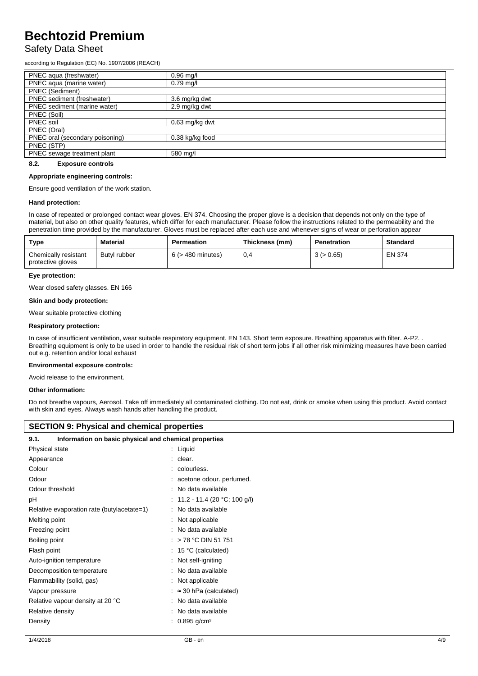# Safety Data Sheet

according to Regulation (EC) No. 1907/2006 (REACH)

| PNEC aqua (freshwater)          | $0.96$ mg/l      |
|---------------------------------|------------------|
| PNEC aqua (marine water)        | $0.79$ mg/l      |
| PNEC (Sediment)                 |                  |
| PNEC sediment (freshwater)      | 3.6 mg/kg dwt    |
| PNEC sediment (marine water)    | 2.9 mg/kg dwt    |
| PNEC (Soil)                     |                  |
| PNEC soil                       | $0.63$ mg/kg dwt |
| PNEC (Oral)                     |                  |
| PNEC oral (secondary poisoning) | 0.38 kg/kg food  |
| PNEC (STP)                      |                  |
| PNEC sewage treatment plant     | 580 mg/l         |
|                                 |                  |

### **8.2. Exposure controls**

#### **Appropriate engineering controls:**

Ensure good ventilation of the work station.

#### **Hand protection:**

In case of repeated or prolonged contact wear gloves. EN 374. Choosing the proper glove is a decision that depends not only on the type of material, but also on other quality features, which differ for each manufacturer. Please follow the instructions related to the permeability and the penetration time provided by the manufacturer. Gloves must be replaced after each use and whenever signs of wear or perforation appear

| Type                                      | <b>Material</b> | <b>Permeation</b>      | Thickness (mm) | Penetration | <b>Standard</b> |
|-------------------------------------------|-----------------|------------------------|----------------|-------------|-----------------|
| Chemically resistant<br>protective gloves | Butyl rubber    | $6$ ( $>$ 480 minutes) | 0,4            | 3 (> 0.65)  | <b>EN 374</b>   |

#### **Eye protection:**

Wear closed safety glasses. EN 166

#### **Skin and body protection:**

Wear suitable protective clothing

#### **Respiratory protection:**

In case of insufficient ventilation, wear suitable respiratory equipment. EN 143. Short term exposure. Breathing apparatus with filter. A-P2. . Breathing equipment is only to be used in order to handle the residual risk of short term jobs if all other risk minimizing measures have been carried out e.g. retention and/or local exhaust

#### **Environmental exposure controls:**

Avoid release to the environment.

#### **Other information:**

Do not breathe vapours, Aerosol. Take off immediately all contaminated clothing. Do not eat, drink or smoke when using this product. Avoid contact with skin and eyes. Always wash hands after handling the product.

### **SECTION 9: Physical and chemical properties**

# **9.1. Information on basic physical and chemical properties**

| Physical state                             |   | : Liquid                      |
|--------------------------------------------|---|-------------------------------|
| Appearance                                 |   | clear.                        |
| Colour                                     |   | colourless.                   |
| Odour                                      |   | acetone odour. perfumed.      |
| Odour threshold                            |   | No data available             |
| рH                                         |   | 11.2 - 11.4 (20 °C; 100 g/l)  |
| Relative evaporation rate (butylacetate=1) |   | No data available             |
| Melting point                              |   | Not applicable                |
| Freezing point                             |   | No data available             |
| Boiling point                              |   | > 78 °C DIN 51 751            |
| Flash point                                |   | 15 °C (calculated)            |
| Auto-ignition temperature                  |   | Not self-igniting             |
| Decomposition temperature                  |   | No data available             |
| Flammability (solid, gas)                  |   | Not applicable                |
| Vapour pressure                            | ÷ | $\approx$ 30 hPa (calculated) |
| Relative vapour density at 20 °C           |   | No data available             |
| Relative density                           |   | No data available             |
| Density                                    |   | $0.895$ g/cm <sup>3</sup>     |
|                                            |   |                               |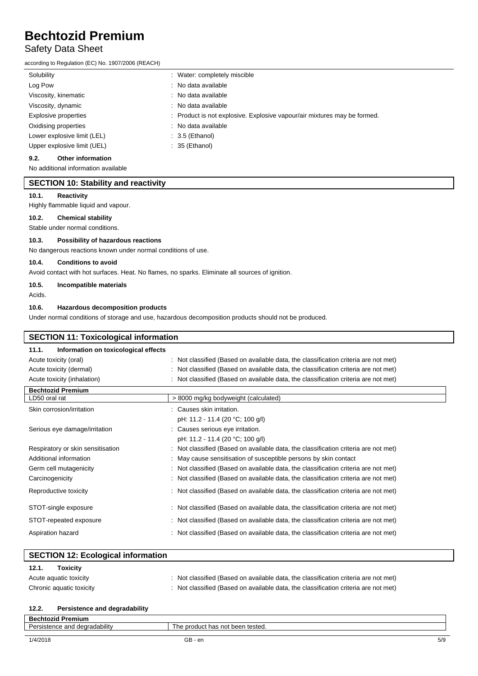# Safety Data Sheet

according to Regulation (EC) No. 1907/2006 (REACH)

| Solubility<br>: Water: completely miscible                                                       |  |
|--------------------------------------------------------------------------------------------------|--|
| : No data available<br>Log Pow                                                                   |  |
| Viscosity, kinematic<br>: No data available                                                      |  |
| Viscosity, dynamic<br>: No data available                                                        |  |
| : Product is not explosive. Explosive vapour/air mixtures may be formed.<br>Explosive properties |  |
| : No data available<br>Oxidising properties                                                      |  |
| Lower explosive limit (LEL)<br>$: 3.5$ (Ethanol)                                                 |  |
| Upper explosive limit (UEL)<br>$: 35$ (Ethanol)                                                  |  |

# **9.2. Other information**

No additional information available

# **SECTION 10: Stability and reactivity**

#### **10.1. Reactivity**

Highly flammable liquid and vapour.

#### **10.2. Chemical stability**

Stable under normal conditions.

## **10.3. Possibility of hazardous reactions**

No dangerous reactions known under normal conditions of use.

## **10.4. Conditions to avoid**

Avoid contact with hot surfaces. Heat. No flames, no sparks. Eliminate all sources of ignition.

## **10.5. Incompatible materials**

Acids.

### **10.6. Hazardous decomposition products**

Under normal conditions of storage and use, hazardous decomposition products should not be produced.

| <b>SECTION 11: Toxicological information</b>  |                                                                                   |
|-----------------------------------------------|-----------------------------------------------------------------------------------|
| Information on toxicological effects<br>11.1. |                                                                                   |
| Acute toxicity (oral)                         | Not classified (Based on available data, the classification criteria are not met) |
| Acute toxicity (dermal)                       | Not classified (Based on available data, the classification criteria are not met) |
| Acute toxicity (inhalation)                   | Not classified (Based on available data, the classification criteria are not met) |
| <b>Bechtozid Premium</b>                      |                                                                                   |
| LD50 oral rat                                 | > 8000 mg/kg bodyweight (calculated)                                              |
| Skin corrosion/irritation                     | Causes skin irritation.                                                           |
|                                               | pH: 11.2 - 11.4 (20 °C; 100 g/l)                                                  |
| Serious eye damage/irritation                 | Causes serious eye irritation.                                                    |
|                                               | pH: 11.2 - 11.4 (20 °C; 100 g/l)                                                  |
| Respiratory or skin sensitisation             | Not classified (Based on available data, the classification criteria are not met) |
| Additional information                        | May cause sensitisation of susceptible persons by skin contact                    |
| Germ cell mutagenicity                        | Not classified (Based on available data, the classification criteria are not met) |
| Carcinogenicity                               | Not classified (Based on available data, the classification criteria are not met) |
| Reproductive toxicity                         | Not classified (Based on available data, the classification criteria are not met) |
| STOT-single exposure                          | Not classified (Based on available data, the classification criteria are not met) |
| STOT-repeated exposure                        | Not classified (Based on available data, the classification criteria are not met) |
| Aspiration hazard                             | Not classified (Based on available data, the classification criteria are not met) |

### **SECTION 12: Ecological information 12.1. Toxicity**

| 12.1.<br>ιοχιςιτν        |                                                                                     |
|--------------------------|-------------------------------------------------------------------------------------|
| Acute aquatic toxicity   | : Not classified (Based on available data, the classification criteria are not met) |
| Chronic aquatic toxicity | : Not classified (Based on available data, the classification criteria are not met) |

### **12.2. Persistence and degradability**

| Premium<br>echtozid<br>3er,    |                                                 |     |
|--------------------------------|-------------------------------------------------|-----|
| istence and degradability<br>- | The L<br>। not been tested.<br>has<br>. product |     |
|                                |                                                 |     |
| 1/4/2018                       | GB - en                                         | 5/9 |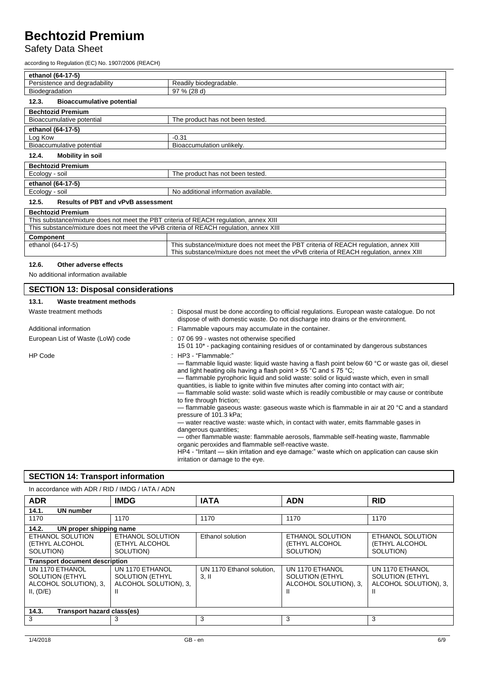# Safety Data Sheet

according to Regulation (EC) No. 1907/2006 (REACH)

| ethanol (64-17-5)                                                                      |                                                                                       |  |
|----------------------------------------------------------------------------------------|---------------------------------------------------------------------------------------|--|
| Persistence and degradability                                                          | Readily biodegradable.                                                                |  |
| Biodegradation                                                                         | 97 % (28 d)                                                                           |  |
| <b>Bioaccumulative potential</b><br>12.3.                                              |                                                                                       |  |
| <b>Bechtozid Premium</b>                                                               |                                                                                       |  |
| Bioaccumulative potential                                                              | The product has not been tested.                                                      |  |
| ethanol (64-17-5)                                                                      |                                                                                       |  |
| Log Kow                                                                                | $-0.31$                                                                               |  |
| Bioaccumulative potential                                                              | Bioaccumulation unlikely.                                                             |  |
| Mobility in soil<br>12.4.                                                              |                                                                                       |  |
| <b>Bechtozid Premium</b>                                                               |                                                                                       |  |
| Ecology - soil                                                                         | The product has not been tested.                                                      |  |
| ethanol (64-17-5)                                                                      |                                                                                       |  |
| Ecology - soil                                                                         | No additional information available.                                                  |  |
| <b>Results of PBT and vPvB assessment</b><br>12.5.                                     |                                                                                       |  |
| <b>Bechtozid Premium</b>                                                               |                                                                                       |  |
| This substance/mixture does not meet the PBT criteria of REACH regulation, annex XIII  |                                                                                       |  |
| This substance/mixture does not meet the vPvB criteria of REACH regulation, annex XIII |                                                                                       |  |
| Component                                                                              |                                                                                       |  |
| ethanol (64-17-5)                                                                      | This substance/mixture does not meet the PBT criteria of REACH regulation, annex XIII |  |

This substance/mixture does not meet the vPvB criteria of REACH regulation, annex XIII

### **12.6. Other adverse effects**

No additional information available

| <b>SECTION 13: Disposal considerations</b> |                                                                                                                                                                                                                                                                                                                                                                                                                                                                                                                                                                                                                                                                                                                                                                                                                                                                                                                                                                                                                                                       |
|--------------------------------------------|-------------------------------------------------------------------------------------------------------------------------------------------------------------------------------------------------------------------------------------------------------------------------------------------------------------------------------------------------------------------------------------------------------------------------------------------------------------------------------------------------------------------------------------------------------------------------------------------------------------------------------------------------------------------------------------------------------------------------------------------------------------------------------------------------------------------------------------------------------------------------------------------------------------------------------------------------------------------------------------------------------------------------------------------------------|
| Waste treatment methods<br>13.1.           |                                                                                                                                                                                                                                                                                                                                                                                                                                                                                                                                                                                                                                                                                                                                                                                                                                                                                                                                                                                                                                                       |
| Waste treatment methods                    | : Disposal must be done according to official regulations. European waste catalogue. Do not<br>dispose of with domestic waste. Do not discharge into drains or the environment.                                                                                                                                                                                                                                                                                                                                                                                                                                                                                                                                                                                                                                                                                                                                                                                                                                                                       |
| Additional information                     | : Flammable vapours may accumulate in the container.                                                                                                                                                                                                                                                                                                                                                                                                                                                                                                                                                                                                                                                                                                                                                                                                                                                                                                                                                                                                  |
| European List of Waste (LoW) code          | : 07 06 99 - wastes not otherwise specified<br>15 01 10* - packaging containing residues of or contaminated by dangerous substances                                                                                                                                                                                                                                                                                                                                                                                                                                                                                                                                                                                                                                                                                                                                                                                                                                                                                                                   |
| <b>HP Code</b>                             | : HP3 - "Flammable:"<br>— flammable liquid waste: liquid waste having a flash point below 60 °C or waste gas oil, diesel<br>and light heating oils having a flash point $>$ 55 °C and $\leq$ 75 °C;<br>- flammable pyrophoric liquid and solid waste: solid or liquid waste which, even in small<br>quantities, is liable to ignite within five minutes after coming into contact with air;<br>- flammable solid waste: solid waste which is readily combustible or may cause or contribute<br>to fire through friction;<br>- flammable gaseous waste: gaseous waste which is flammable in air at 20 °C and a standard<br>pressure of 101.3 kPa;<br>— water reactive waste: waste which, in contact with water, emits flammable gases in<br>dangerous quantities;<br>— other flammable waste: flammable aerosols, flammable self-heating waste, flammable<br>organic peroxides and flammable self-reactive waste.<br>HP4 - "Irritant — skin irritation and eye damage:" waste which on application can cause skin<br>irritation or damage to the eye. |

# **SECTION 14: Transport information**

| In accordance with ADR / RID / IMDG / IATA / ADN                                |                                                                         |                                    |                                                                         |                                                                         |
|---------------------------------------------------------------------------------|-------------------------------------------------------------------------|------------------------------------|-------------------------------------------------------------------------|-------------------------------------------------------------------------|
| <b>ADR</b>                                                                      | <b>IMDG</b>                                                             | <b>IATA</b>                        | <b>ADN</b>                                                              | <b>RID</b>                                                              |
| 14.1.<br>UN number                                                              |                                                                         |                                    |                                                                         |                                                                         |
| 1170                                                                            | 1170                                                                    | 1170                               | 1170                                                                    | 1170                                                                    |
| 14.2.<br>UN proper shipping name                                                |                                                                         |                                    |                                                                         |                                                                         |
| ETHANOL SOLUTION<br>(ETHYL ALCOHOL<br>SOLUTION)                                 | ETHANOL SOLUTION<br>(ETHYL ALCOHOL<br>SOLUTION)                         | Ethanol solution                   | ETHANOL SOLUTION<br>(ETHYL ALCOHOL<br>SOLUTION)                         | ETHANOL SOLUTION<br>(ETHYL ALCOHOL<br>SOLUTION)                         |
| <b>Transport document description</b>                                           |                                                                         |                                    |                                                                         |                                                                         |
| UN 1170 ETHANOL<br><b>SOLUTION (ETHYL</b><br>ALCOHOL SOLUTION), 3,<br>II, (D/E) | UN 1170 ETHANOL<br><b>SOLUTION (ETHYL</b><br>ALCOHOL SOLUTION), 3,<br>Ш | UN 1170 Ethanol solution,<br>3, II | UN 1170 ETHANOL<br><b>SOLUTION (ETHYL</b><br>ALCOHOL SOLUTION), 3,<br>Ш | UN 1170 ETHANOL<br><b>SOLUTION (ETHYL</b><br>ALCOHOL SOLUTION), 3,<br>Ш |
| 14.3.<br>Transport hazard class(es)                                             |                                                                         |                                    |                                                                         |                                                                         |
| 3                                                                               | 3                                                                       | 3                                  | 3                                                                       | 3                                                                       |
|                                                                                 |                                                                         |                                    |                                                                         |                                                                         |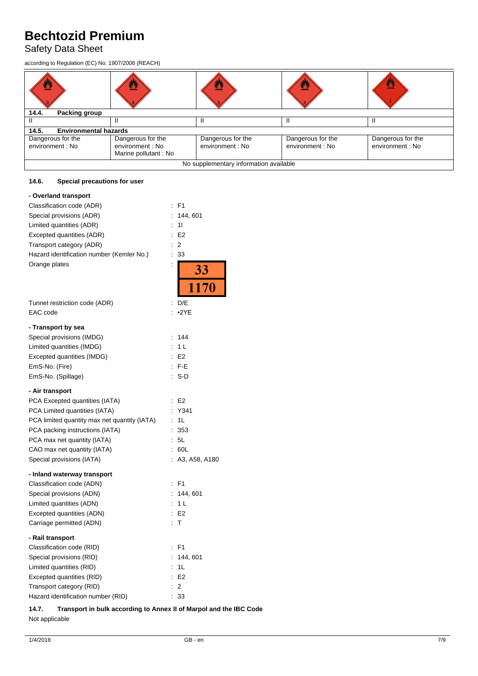# Safety Data Sheet

according to Regulation (EC) No. 1907/2006 (REACH)

| ፵                                     |                                                               | ≌                                      |                                       | 舂                                    |
|---------------------------------------|---------------------------------------------------------------|----------------------------------------|---------------------------------------|--------------------------------------|
| 14.4.<br>Packing group                |                                                               |                                        |                                       |                                      |
|                                       |                                                               |                                        |                                       |                                      |
| <b>Environmental hazards</b><br>14.5. |                                                               |                                        |                                       |                                      |
| Dangerous for the<br>environment : No | Dangerous for the<br>environment : No<br>Marine pollutant: No | Dangerous for the<br>environment : No  | Dangerous for the<br>environment : No | Dangerous for the<br>environment: No |
|                                       |                                                               | No supplementary information available |                                       |                                      |

# **14.6. Special precautions for user**

| - Overland transport                            |    |                   |
|-------------------------------------------------|----|-------------------|
| Classification code (ADR)                       | ÷  | F <sub>1</sub>    |
| Special provisions (ADR)                        | ÷  | 144,601           |
| Limited quantities (ADR)                        | t  | 11                |
| Excepted quantities (ADR)                       | t  | E <sub>2</sub>    |
| Transport category (ADR)                        | t  | $\overline{2}$    |
| Hazard identification number (Kemler No.)       | ÷  | 33                |
| Orange plates                                   | İ  | $\frac{33}{1170}$ |
|                                                 |    |                   |
| Tunnel restriction code (ADR)                   | t  | D/E               |
| EAC code                                        |    | $\cdot$ 2YE       |
|                                                 |    |                   |
| - Transport by sea<br>Special provisions (IMDG) | ÷  | 144               |
| Limited quantities (IMDG)                       | ÷. | 1 <sub>L</sub>    |
| Excepted quantities (IMDG)                      |    | E <sub>2</sub>    |
| EmS-No. (Fire)                                  |    | $:$ F-E           |
| EmS-No. (Spillage)                              | ÷  | S-D               |
|                                                 |    |                   |
| - Air transport                                 |    |                   |
| PCA Excepted quantities (IATA)                  | ÷. | E <sub>2</sub>    |
| PCA Limited quantities (IATA)                   | ÷  | Y341              |
| PCA limited quantity max net quantity (IATA)    | İ, | 1L                |
| PCA packing instructions (IATA)                 | t. | 353               |
| PCA max net quantity (IATA)                     | ÷. | 5L                |
| CAO max net quantity (IATA)                     |    | 60L               |
| Special provisions (IATA)                       |    | A3, A58, A180     |
| - Inland waterway transport                     |    |                   |
| Classification code (ADN)                       |    | $:$ F1            |
| Special provisions (ADN)                        | t. | 144, 601          |
| Limited quantities (ADN)                        | ÷  | 1 <sub>L</sub>    |
| Excepted quantities (ADN)                       |    | E <sub>2</sub>    |
| Carriage permitted (ADN)                        | ÷  | $\mathsf{T}$      |
|                                                 |    |                   |
| - Rail transport                                |    |                   |
| Classification code (RID)                       | ÷  | F <sub>1</sub>    |
| Special provisions (RID)                        | ÷  | 144, 601          |
| Limited quantities (RID)                        | t  | 1L                |
| Excepted quantities (RID)                       | ÷  | E <sub>2</sub>    |
| Transport category (RID)                        | t  | $\overline{2}$    |
| Hazard identification number (RID)              |    | 33                |

**14.7. Transport in bulk according to Annex II of Marpol and the IBC Code** Not applicable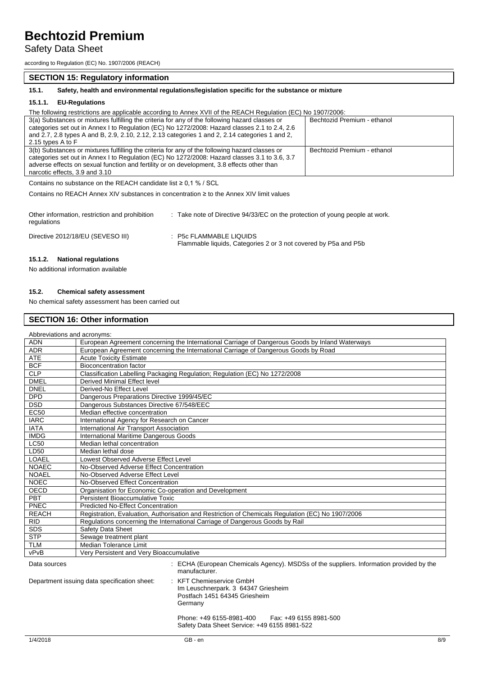# Safety Data Sheet

according to Regulation (EC) No. 1907/2006 (REACH)

## **SECTION 15: Regulatory information**

**15.1. Safety, health and environmental regulations/legislation specific for the substance or mixture**

### **15.1.1. EU-Regulations**

The following restrictions are applicable according to Annex XVII of the REACH Regulation (EC) No 1907/2006:

| 3(a) Substances or mixtures fulfilling the criteria for any of the following hazard classes or | Bechtozid Premium - ethanol |
|------------------------------------------------------------------------------------------------|-----------------------------|
| categories set out in Annex I to Regulation (EC) No 1272/2008: Hazard classes 2.1 to 2.4, 2.6  |                             |
| and 2.7, 2.8 types A and B, 2.9, 2.10, 2.12, 2.13 categories 1 and 2, 2.14 categories 1 and 2, |                             |
| 2.15 types A to F                                                                              |                             |
| 3(b) Substances or mixtures fulfilling the criteria for any of the following hazard classes or | Bechtozid Premium - ethanol |
| categories set out in Annex I to Regulation (EC) No 1272/2008: Hazard classes 3.1 to 3.6, 3.7  |                             |
| adverse effects on sexual function and fertility or on development, 3.8 effects other than     |                             |
| narcotic effects, 3.9 and 3.10                                                                 |                             |

Contains no substance on the REACH candidate list ≥ 0,1 % / SCL

Contains no REACH Annex XIV substances in concentration ≥ to the Annex XIV limit values

| Other information, restriction and prohibition<br>regulations | : Take note of Directive 94/33/EC on the protection of young people at work.               |
|---------------------------------------------------------------|--------------------------------------------------------------------------------------------|
| Directive 2012/18/EU (SEVESO III)                             | : P5c FLAMMABLE LIQUIDS<br>Flammable liquids, Categories 2 or 3 not covered by P5a and P5b |

# **15.1.2. National regulations**

No additional information available

### **15.2. Chemical safety assessment**

No chemical safety assessment has been carried out

## **SECTION 16: Other information**

| Abbreviations and acronyms:                                                                                                                      |                                                                                                   |  |  |  |
|--------------------------------------------------------------------------------------------------------------------------------------------------|---------------------------------------------------------------------------------------------------|--|--|--|
| <b>ADN</b>                                                                                                                                       | European Agreement concerning the International Carriage of Dangerous Goods by Inland Waterways   |  |  |  |
| ADR                                                                                                                                              | European Agreement concerning the International Carriage of Dangerous Goods by Road               |  |  |  |
| <b>ATE</b>                                                                                                                                       | <b>Acute Toxicity Estimate</b>                                                                    |  |  |  |
| <b>BCF</b>                                                                                                                                       | <b>Bioconcentration factor</b>                                                                    |  |  |  |
| <b>CLP</b>                                                                                                                                       | Classification Labelling Packaging Regulation; Regulation (EC) No 1272/2008                       |  |  |  |
| <b>DMEL</b>                                                                                                                                      | Derived Minimal Effect level                                                                      |  |  |  |
| <b>DNEL</b>                                                                                                                                      | Derived-No Effect Level                                                                           |  |  |  |
| <b>DPD</b>                                                                                                                                       | Dangerous Preparations Directive 1999/45/EC                                                       |  |  |  |
| <b>DSD</b>                                                                                                                                       | Dangerous Substances Directive 67/548/EEC                                                         |  |  |  |
| <b>EC50</b>                                                                                                                                      | Median effective concentration                                                                    |  |  |  |
| <b>IARC</b>                                                                                                                                      | International Agency for Research on Cancer                                                       |  |  |  |
| <b>IATA</b>                                                                                                                                      | International Air Transport Association                                                           |  |  |  |
| <b>IMDG</b>                                                                                                                                      | International Maritime Dangerous Goods                                                            |  |  |  |
| <b>LC50</b>                                                                                                                                      | Median lethal concentration                                                                       |  |  |  |
| LD50                                                                                                                                             | Median lethal dose                                                                                |  |  |  |
| <b>LOAEL</b>                                                                                                                                     | Lowest Observed Adverse Effect Level                                                              |  |  |  |
| <b>NOAEC</b>                                                                                                                                     | No-Observed Adverse Effect Concentration                                                          |  |  |  |
| <b>NOAEL</b>                                                                                                                                     | No-Observed Adverse Effect Level                                                                  |  |  |  |
| <b>NOEC</b>                                                                                                                                      | No-Observed Effect Concentration                                                                  |  |  |  |
| <b>OECD</b>                                                                                                                                      | Organisation for Economic Co-operation and Development                                            |  |  |  |
| PBT                                                                                                                                              | Persistent Bioaccumulative Toxic                                                                  |  |  |  |
| PNEC                                                                                                                                             | Predicted No-Effect Concentration                                                                 |  |  |  |
| <b>REACH</b>                                                                                                                                     | Registration, Evaluation, Authorisation and Restriction of Chemicals Regulation (EC) No 1907/2006 |  |  |  |
| <b>RID</b>                                                                                                                                       | Regulations concerning the International Carriage of Dangerous Goods by Rail                      |  |  |  |
| <b>SDS</b>                                                                                                                                       | Safety Data Sheet                                                                                 |  |  |  |
| <b>STP</b>                                                                                                                                       | Sewage treatment plant                                                                            |  |  |  |
| <b>TLM</b>                                                                                                                                       | <b>Median Tolerance Limit</b>                                                                     |  |  |  |
| vPvB                                                                                                                                             | Very Persistent and Very Bioaccumulative                                                          |  |  |  |
| : ECHA (European Chemicals Agency). MSDSs of the suppliers. Information provided by the<br>Data sources<br>manufacturer.                         |                                                                                                   |  |  |  |
| : KFT Chemieservice GmbH<br>Department issuing data specification sheet:<br>Im Leuschnerpark. 3 64347 Griesheim<br>Postfach 1451 64345 Griesheim |                                                                                                   |  |  |  |

Phone: +49 6155-8981-400 Fax: +49 6155 8981-500 Safety Data Sheet Service: +49 6155 8981-522

**Germany**